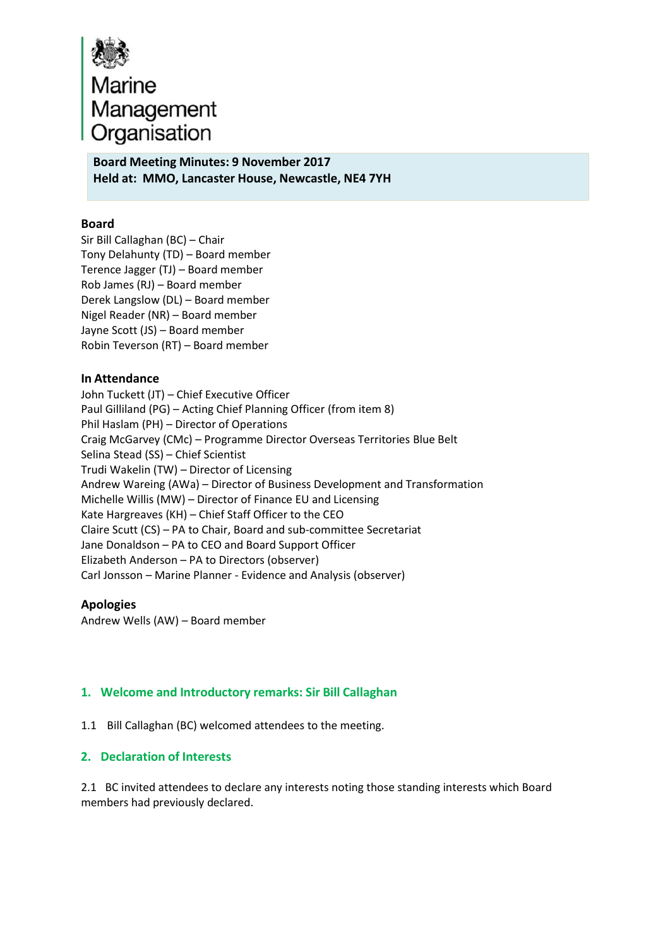

# **Board Meeting Minutes: 9 November 2017 Held at: MMO, Lancaster House, Newcastle, NE4 7YH**

## **Board**

Sir Bill Callaghan (BC) – Chair Tony Delahunty (TD) – Board member Terence Jagger (TJ) – Board member Rob James (RJ) – Board member Derek Langslow (DL) – Board member Nigel Reader (NR) – Board member Jayne Scott (JS) – Board member Robin Teverson (RT) – Board member

## **In Attendance**

John Tuckett (JT) – Chief Executive Officer Paul Gilliland (PG) – Acting Chief Planning Officer (from item 8) Phil Haslam (PH) – Director of Operations Craig McGarvey (CMc) – Programme Director Overseas Territories Blue Belt Selina Stead (SS) – Chief Scientist Trudi Wakelin (TW) – Director of Licensing Andrew Wareing (AWa) – Director of Business Development and Transformation Michelle Willis (MW) – Director of Finance EU and Licensing Kate Hargreaves (KH) – Chief Staff Officer to the CEO Claire Scutt (CS) – PA to Chair, Board and sub‐committee Secretariat Jane Donaldson – PA to CEO and Board Support Officer Elizabeth Anderson – PA to Directors (observer) Carl Jonsson – Marine Planner ‐ Evidence and Analysis (observer)

## **Apologies**

Andrew Wells (AW) – Board member

## **1. Welcome and Introductory remarks: Sir Bill Callaghan**

1.1 Bill Callaghan (BC) welcomed attendees to the meeting.

## **2. Declaration of Interests**

2.1 BC invited attendees to declare any interests noting those standing interests which Board members had previously declared.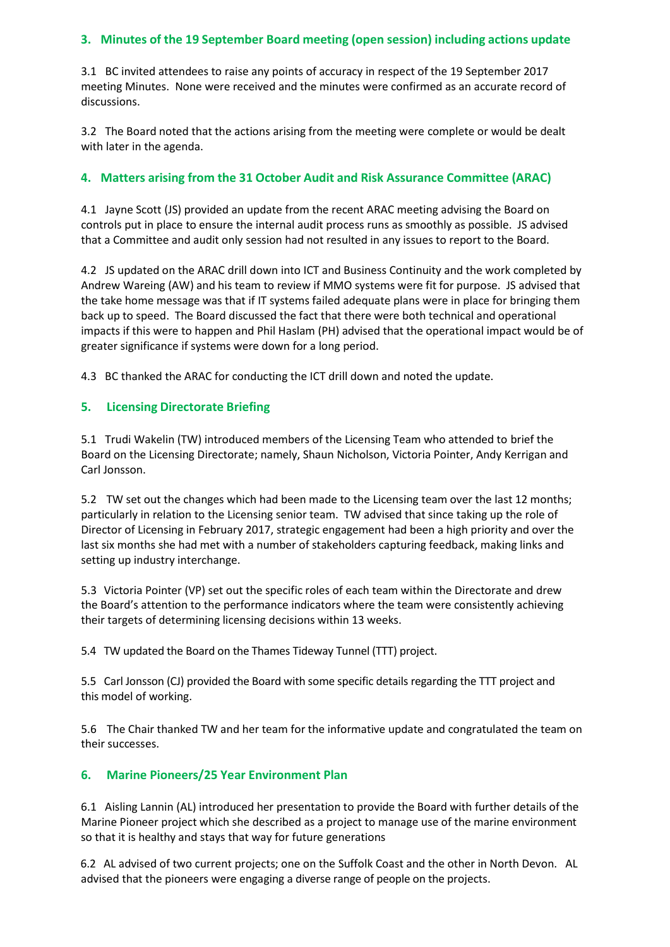# **3. Minutes of the 19 September Board meeting (open session) including actions update**

3.1 BC invited attendees to raise any points of accuracy in respect of the 19 September 2017 meeting Minutes. None were received and the minutes were confirmed as an accurate record of discussions.

3.2 The Board noted that the actions arising from the meeting were complete or would be dealt with later in the agenda.

# **4. Matters arising from the 31 October Audit and Risk Assurance Committee (ARAC)**

4.1 Jayne Scott (JS) provided an update from the recent ARAC meeting advising the Board on controls put in place to ensure the internal audit process runs as smoothly as possible. JS advised that a Committee and audit only session had not resulted in any issues to report to the Board.

4.2 JS updated on the ARAC drill down into ICT and Business Continuity and the work completed by Andrew Wareing (AW) and his team to review if MMO systems were fit for purpose. JS advised that the take home message was that if IT systems failed adequate plans were in place for bringing them back up to speed. The Board discussed the fact that there were both technical and operational impacts if this were to happen and Phil Haslam (PH) advised that the operational impact would be of greater significance if systems were down for a long period.

4.3 BC thanked the ARAC for conducting the ICT drill down and noted the update.

## **5. Licensing Directorate Briefing**

5.1 Trudi Wakelin (TW) introduced members of the Licensing Team who attended to brief the Board on the Licensing Directorate; namely, Shaun Nicholson, Victoria Pointer, Andy Kerrigan and Carl Jonsson.

5.2 TW set out the changes which had been made to the Licensing team over the last 12 months; particularly in relation to the Licensing senior team. TW advised that since taking up the role of Director of Licensing in February 2017, strategic engagement had been a high priority and over the last six months she had met with a number of stakeholders capturing feedback, making links and setting up industry interchange.

5.3 Victoria Pointer (VP) set out the specific roles of each team within the Directorate and drew the Board's attention to the performance indicators where the team were consistently achieving their targets of determining licensing decisions within 13 weeks.

5.4 TW updated the Board on the Thames Tideway Tunnel (TTT) project.

5.5 Carl Jonsson (CJ) provided the Board with some specific details regarding the TTT project and this model of working.

5.6 The Chair thanked TW and her team for the informative update and congratulated the team on their successes.

## **6. Marine Pioneers/25 Year Environment Plan**

 6.1 Aisling Lannin (AL) introduced her presentation to provide the Board with further details of the Marine Pioneer project which she described as a project to manage use of the marine environment so that it is healthy and stays that way for future generations

 6.2 AL advised of two current projects; one on the Suffolk Coast and the other in North Devon. AL advised that the pioneers were engaging a diverse range of people on the projects.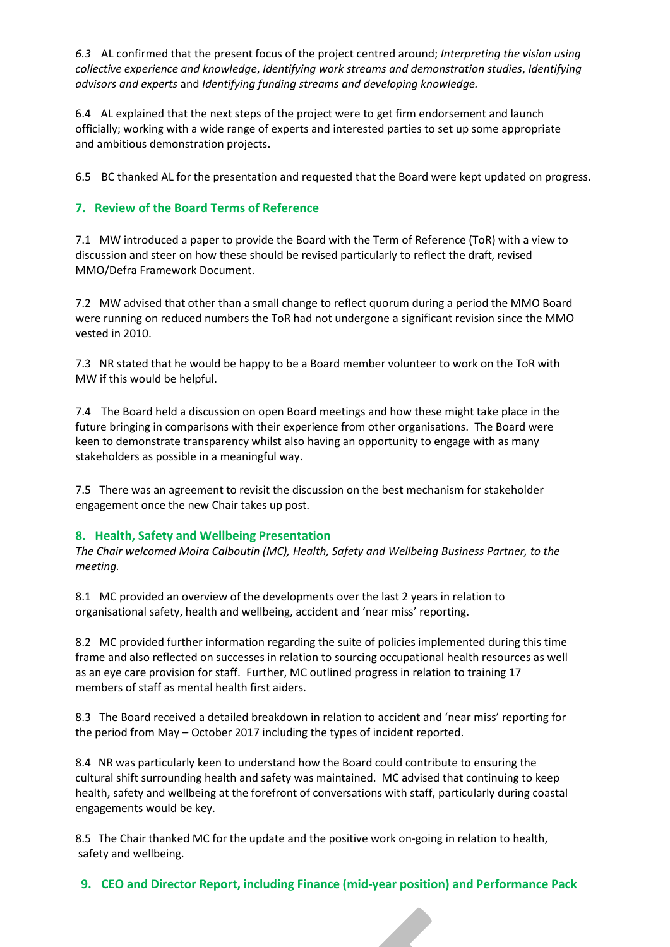*6.3* AL confirmed that the present focus of the project centred around; *Interpreting the vision using collective experience and knowledge*, *Identifying work streams and demonstration studies*, *Identifying advisors and experts* and *Identifying funding streams and developing knowledge.*

6.4 AL explained that the next steps of the project were to get firm endorsement and launch officially; working with a wide range of experts and interested parties to set up some appropriate and ambitious demonstration projects.

6.5 BC thanked AL for the presentation and requested that the Board were kept updated on progress.

# **7. Review of the Board Terms of Reference**

7.1 MW introduced a paper to provide the Board with the Term of Reference (ToR) with a view to discussion and steer on how these should be revised particularly to reflect the draft, revised MMO/Defra Framework Document.

7.2 MW advised that other than a small change to reflect quorum during a period the MMO Board were running on reduced numbers the ToR had not undergone a significant revision since the MMO vested in 2010.

7.3 NR stated that he would be happy to be a Board member volunteer to work on the ToR with MW if this would be helpful.

7.4 The Board held a discussion on open Board meetings and how these might take place in the future bringing in comparisons with their experience from other organisations. The Board were keen to demonstrate transparency whilst also having an opportunity to engage with as many stakeholders as possible in a meaningful way.

7.5 There was an agreement to revisit the discussion on the best mechanism for stakeholder engagement once the new Chair takes up post.

#### **8. Health, Safety and Wellbeing Presentation**

*The Chair welcomed Moira Calboutin (MC), Health, Safety and Wellbeing Business Partner, to the meeting.*

8.1 MC provided an overview of the developments over the last 2 years in relation to organisational safety, health and wellbeing, accident and 'near miss' reporting.

8.2 MC provided further information regarding the suite of policies implemented during this time frame and also reflected on successes in relation to sourcing occupational health resources as well as an eye care provision for staff. Further, MC outlined progress in relation to training 17 members of staff as mental health first aiders.

8.3 The Board received a detailed breakdown in relation to accident and 'near miss' reporting for the period from May – October 2017 including the types of incident reported.

8.4 NR was particularly keen to understand how the Board could contribute to ensuring the cultural shift surrounding health and safety was maintained. MC advised that continuing to keep health, safety and wellbeing at the forefront of conversations with staff, particularly during coastal engagements would be key.

8.5 The Chair thanked MC for the update and the positive work on-going in relation to health, safety and wellbeing.

**9. CEO and Director Report, including Finance (mid‐year position) and Performance Pack**